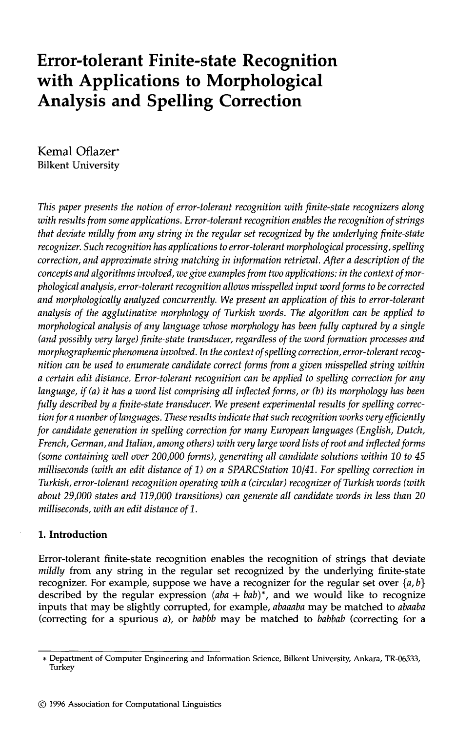# **Error-tolerant Finite-state Recognition with Applications to Morphological Analysis and Spelling Correction**

**Kemal Oflazer\***  Bilkent University

*This paper presents the notion of error-tolerant recognition with finite-state recognizers along with results from some applications. Error-tolerant recognition enables the recognition of strings that deviate mildly from any string in the regular set recognized by the underlying finite-state recognizer. Such recognition has applications to error-tolerant morphological processing, spelling correction, and approximate string matching in information retrieval. After a description of the concepts and algorithms involved, we give examples from two applications: in the context of morphological analysis, error-tolerant recognition allows misspelled input word forms to be corrected and morphologically analyzed concurrently. We present an application of this to error-tolerant analysis of the agglutinative morphology of Turkish words. The algorithm can be applied to morphological analysis of any language whose morphology has been fully captured by a single (and possibly very large) finite-state transducer, regardless of the word formation processes and morphographemic phenomena involved. In the context of spelling correction, error-tolerant recognition can be used to enumerate candidate correct forms from a given misspelled string within a certain edit distance. Error-tolerant recognition can be applied to spelling correction for any language, if (a) it has a word list comprising all inflected forms, or (b) its morphology has been fully described by a finite-state transducer. We present experimental results for spelling correction for a number of languages. These results indicate that such recognition works very efficiently for candidate generation in spelling correction for many European languages (English, Dutch, French, German, and Italian, among others) with very large word lists of root and inflected forms (some containing well over 200,000 forms), generating all candidate solutions within 10 to 45 milliseconds (with an edit distance of 1) on a SPARCStation 10/41. For spelling correction in Turkish, error-tolerant recognition operating with a (circular) recognizer of Turkish words (with about 29,000 states and 119,000 transitions) can generate all candidate words in less than 20 milliseconds, with an edit distance of 1.* 

# **1. Introduction**

Error-tolerant finite-state recognition enables the recognition of strings **that deviate**  *mildly* from any string in the **regular set** recognized by the underlying **finite-state**  recognizer. For example, suppose we have a recognizer for the regular set over  $\{a, b\}$ described by the regular expression  $(aba + bab)^*$ , and we would like to recognize inputs that may be slightly corrupted, for example, *abaaaba* may be matched to *abaaba*  (correcting for a spurious a), or *babbb* may be matched to *babbab* (correcting for a

<sup>\*</sup> Department of Computer Engineering and Information Science, Bilkent University, Ankara, TR-06533, Turkey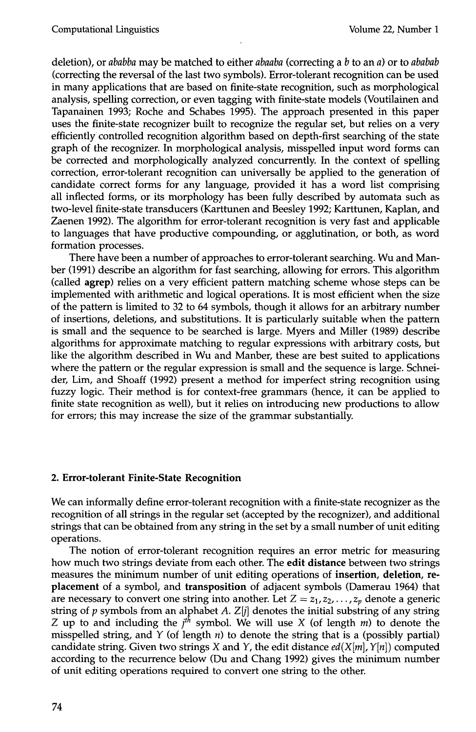deletion), or *ababba* may be matched to either *abaaba* (correcting a b to an a) or to *ababab*  (correcting the reversal of the last two symbols). Error-tolerant recognition can be used in many applications that are based on finite-state recognition, such as morphological analysis, spelling correction, or even tagging with finite-state models (Voutilainen and Tapanainen 1993; Roche and Schabes 1995). The approach presented in this paper uses the finite-state recognizer built to recognize the regular set, but relies on a very efficiently controlled recognition algorithm based on depth-first searching of the state graph of the recognizer. In morphological analysis, misspelled input word forms can be corrected and morphologically analyzed concurrently. In the context of spelling correction, error-tolerant recognition can universally be applied to the generation of candidate correct forms for any language, provided it has a word list comprising all inflected forms, or its morphology has been fully described by automata such as two-level finite-state transducers (Karttunen and Beesley 1992; Karttunen, Kaplan, and Zaenen 1992). The algorithm for error-tolerant recognition is very fast and applicable to languages that have productive compounding, or agglutination, or both, as word formation processes.

There have been a number of approaches to error-tolerant searching. Wu and Manber (1991) describe an algorithm for fast searching, allowing for errors. This algorithm (called agrep) relies on a very efficient pattern matching scheme whose steps can be implemented with arithmetic and logical operations. It is most efficient when the size of the pattern is limited to 32 to 64 symbols, though it allows for an arbitrary number of insertions, deletions, and substitutions. It is particularly suitable when the pattern is small and the sequence to be searched is large. Myers and Miller (1989) describe algorithms for approximate matching to regular expressions with arbitrary costs, but like the algorithm described in Wu and Manber, these are best suited to applications where the pattern or the regular expression is small and the sequence is large. Schneider, Lim, and Shoaff (1992) present a method for imperfect string recognition using fuzzy logic. Their method is for context-free grammars (hence, it can be applied to finite state recognition as well), but it relies on introducing new productions to allow for errors; this may increase the size of the grammar substantially.

# **2. Error-tolerant Finite-State Recognition**

We can informally define error-tolerant recognition with a finite-state recognizer as the recognition of all strings in the regular set (accepted by the recognizer), and additional strings that can be obtained from any string in the set by a small number of unit editing operations.

The notion of error-tolerant recognition requires an error metric for measuring how much two strings deviate from each other. The **edit distance** between two strings measures the minimum number of unit editing operations of **insertion, deletion, replacement** of a symbol, and **transposition** of adjacent symbols (Damerau 1964) that are necessary to convert one string into another. Let  $Z = z_1, z_2, \ldots, z_p$  denote a generic string of  $p$  symbols from an alphabet  $A$ .  $Z[j]$  denotes the initial substring of any string Z up to and including the  $j<sup>th</sup>$  symbol. We will use X (of length m) to denote the misspelled string, and  $Y$  (of length  $n$ ) to denote the string that is a (possibly partial) candidate string. Given two strings X and Y, the edit distance  $ed(X[m], Y[n])$  computed according to the recurrence below (Du and Chang 1992) gives the minimum number of unit editing operations required to convert one string to the other.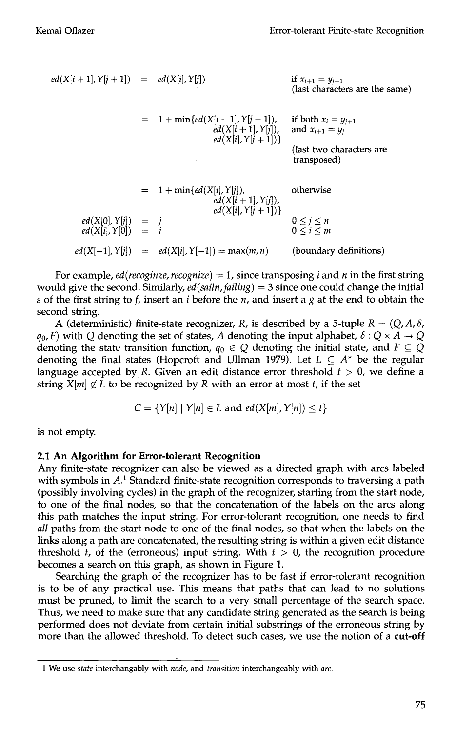$$
ed(X[i + 1], Y[j + 1]) = ed(X[i], Y[j])
$$
if  $x_{i+1} = y_{j+1}$   
\n
$$
= 1 + min\{ed(X[i - 1], Y[j - 1]),
$$
if both  $x_i = y_{j+1}$   
\n
$$
ed(X[i], Y[j + 1])\}
$$
and  $x_{i+1} = y_j$   
\n
$$
ed(X[i], Y[j + 1])
$$
  
\n
$$
= 1 + min\{ed(X[i], Y[j]),
$$
  
\n
$$
ed(X[i], Y[j + 1])\}
$$
  
\n
$$
ed(X[i], Y[j + 1])
$$
  
\n
$$
ed(X[i], Y[j + 1])
$$
  
\n
$$
ed(X[i], Y[j + 1])
$$
  
\n
$$
ed(X[i], Y[j + 1])
$$
  
\n
$$
ed(X[i], Y[j]) = i
$$
  
\n
$$
od(X[i], Y[j]) = ed(X[i], Y[-1]) = max(m, n)
$$
  
\n(boundary definitions)

For example, *ed*(*recoginze*, *recognize*) = 1, since transposing *i* and *n* in the first string would give the second. Similarly, *ed(sailn,failing)* = 3 since one could change the initial s of the first string to f, insert an i before the n, and insert a g at the end to obtain the second string.

A (deterministic) finite-state recognizer, R, is described by a 5-tuple  $R = (Q, A, \delta, A)$  $q_0$ , F) with Q denoting the set of states, A denoting the input alphabet,  $\delta: Q \times A \rightarrow Q$ denoting the state transition function,  $q_0 \in Q$  denoting the initial state, and  $F \subseteq Q$ denoting the final states (Hopcroft and Ullman 1979). Let  $L \subseteq A^*$  be the regular language accepted by R. Given an edit distance error threshold  $t > 0$ , we define a string  $X[m] \notin L$  to be recognized by R with an error at most t, if the set

$$
C = \{Y[n] \mid Y[n] \in L \text{ and } ed(X[m], Y[n]) \leq t\}
$$

is not empty.

## **2.1 An Algorithm for Error-tolerant Recognition**

Any finite-state recognizer can also be viewed as a directed graph with arcs labeled with symbols in  $A<sup>1</sup>$  Standard finite-state recognition corresponds to traversing a path (possibly involving cycles) in the graph of the recognizer, starting from the start node, to one of the final nodes, so that the concatenation of the labels on the arcs along this path matches the input string. For error-tolerant recognition, one needs to find *all* paths from the start node to one of the final nodes, so that when the labels on the links along a path are concatenated, the resulting string is within a given edit distance threshold t, of the (erroneous) input string. With  $t > 0$ , the recognition procedure becomes a search on this graph, as shown in Figure 1.

Searching the graph of the recognizer has to be fast if error-tolerant recognition is to be of any practical use. This means that paths that can lead to no solutions must be pruned, to limit the search to a very small percentage of the search space. Thus, we need to make sure that any candidate string generated as the search is being performed does not deviate from certain initial substrings of the erroneous string by more than the allowed threshold. To detect such cases, we use the notion of a **cut-off** 

<sup>1</sup> We use *state* interchangably with *node,* and *transition* interchangeably with *arc.*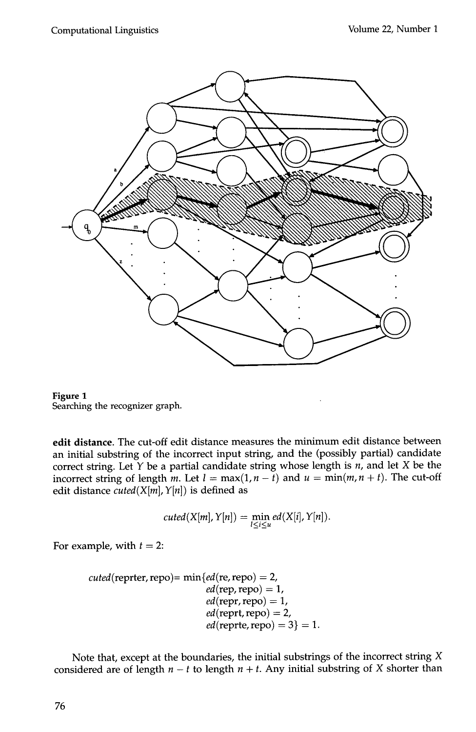



edit distance. The cut-off edit distance measures the minimum edit distance between an initial substring of the incorrect input string, and the (possibly partial) candidate correct string. Let  $Y$  be a partial candidate string whose length is n, and let X be the incorrect string of length m. Let  $l = \max(1, n - \overline{t})$  and  $u = \min(m, n + \overline{t})$ . The cut-off edit distance *cuted*( $X[m], Y[n]$ ) is defined as

$$
cuted(X[m], Y[n]) = \min_{l \leq i \leq u} ed(X[i], Y[n]).
$$

For example, with  $t = 2$ :

$$
cuted(repter, repo) = min\{ed(re, repo) = 2,
$$
  
\n
$$
ed(repr, repo) = 1,
$$
  
\n
$$
ed(repr, repo) = 1,
$$
  
\n
$$
ed(reprt, repo) = 2,
$$
  
\n
$$
ed(repre, repo) = 3\} = 1.
$$

Note that, except at the boundaries, the initial substrings of the incorrect string X considered are of length  $n - t$  to length  $n + t$ . Any initial substring of X shorter than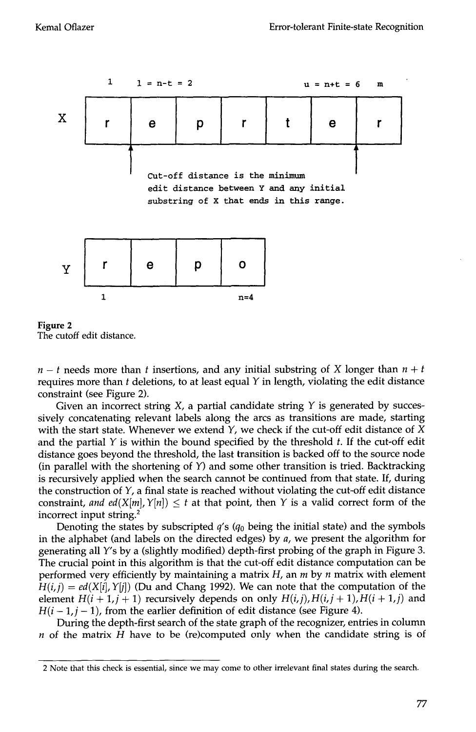



 $n - t$  needs more than t insertions, and any initial substring of X longer than  $n + t$ requires more than  $t$  deletions, to at least equal  $Y$  in length, violating the edit distance constraint (see Figure 2).

Given an incorrect string  $X$ , a partial candidate string  $Y$  is generated by successively concatenating relevant labels along the arcs as transitions are made, starting with the start state. Whenever we extend  $Y$ , we check if the cut-off edit distance of X and the partial  $Y$  is within the bound specified by the threshold  $t$ . If the cut-off edit distance goes beyond the threshold, the last transition is backed off to the source node (in parallel with the shortening of  $Y$ ) and some other transition is tried. Backtracking is recursively applied when the search cannot be continued from that state. If, during the construction of  $Y$ , a final state is reached without violating the cut-off edit distance constraint, and ed(X[m],  $Y[n]$ )  $\leq t$  at that point, then Y is a valid correct form of the incorrect input string. $2$ 

Denoting the states by subscripted  $q's (q_0)$  being the initial state) and the symbols in the alphabet (and labels on the directed edges) by  $a$ , we present the algorithm for generating all Y's by a (slightly modified) depth-first probing of the graph in Figure 3. The crucial point in this algorithm is that the cut-off edit distance computation can be performed very efficiently by maintaining a matrix  $H$ , an  $m$  by  $n$  matrix with element  $H(i,j) = ed(X[i], Y[j])$  (Du and Chang 1992). We can note that the computation of the element  $H(i + 1, j + 1)$  recursively depends on only  $H(i,j)$ ,  $H(i, j + 1)$ ,  $H(i + 1, j)$  and  $H(i - 1, j - 1)$ , from the earlier definition of edit distance (see Figure 4).

During the depth-first search of the state graph of the recognizer, entries in column  $n$  of the matrix  $H$  have to be (re)computed only when the candidate string is of

<sup>2</sup> Note that this check is essential, since we may come to other irrelevant final states during the search.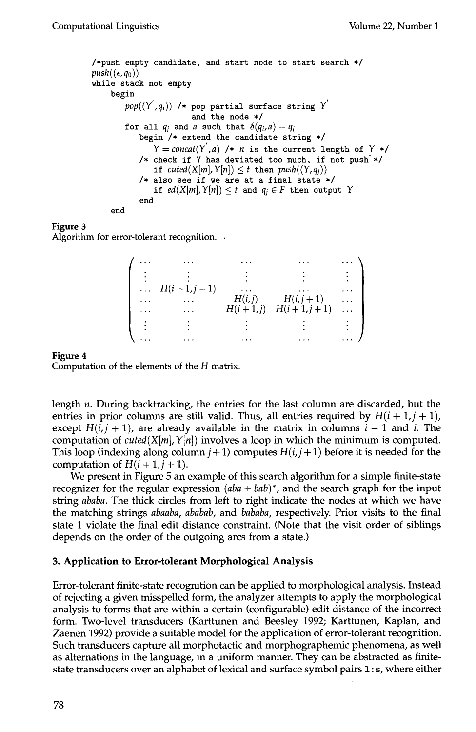```
/*push empty candidate, and start node to start search */ 
push((\epsilon, q_0))while stack not empty 
    begin 
        pop((Y', q_i)) /* pop partial surface string Y<sup>'</sup>
                        and the node */ 
        for all q_i and a such that \delta(q_i, a) = q_ibegin /* extend the candidate string */ 
               Y = concat(Y', a) /* n is the current length of Y * / Y/* check if Y has deviated too much, if not push */if cuted(X[m], Y[n]) \leq t then push((Y, q_i))/* also see if we are at a final state */ 
               if ed(X[m], Y[n]) < t and q_i \in F then output Y
           end 
    end
```
Algorithm for error-tolerant recognition.

|                       | $\cdots$     |            |                   |          |
|-----------------------|--------------|------------|-------------------|----------|
|                       |              |            |                   |          |
| $\dddot{\phantom{0}}$ | $H(i-1,j-1)$ |            |                   |          |
|                       |              | H(i,j)     | $H(i, j + 1)$     |          |
|                       | .            | $H(i+1,j)$ | $H(i + 1, j + 1)$ | $\cdots$ |
|                       |              |            |                   |          |
|                       |              |            |                   |          |

#### **Figure 4**

Computation of the elements of the H matrix.

length n. During backtracking, the entries for the last column are discarded, but the entries in prior columns are still valid. Thus, all entries required by  $H(i + 1, j + 1)$ , except  $H(i, j + 1)$ , are already available in the matrix in columns  $i - 1$  and i. The computation of *cuted*( $X[m], Y[n]$ ) involves a loop in which the minimum is computed. This loop (indexing along column  $j+1$ ) computes  $H(i, j+1)$  before it is needed for the computation of  $H(i + 1, j + 1)$ .

We present in Figure 5 an example of this search algorithm for a simple finite-state recognizer for the regular expression *(aba + bab)\*,* and the search graph for the input string *ababa.* The thick circles from left to right indicate the nodes at which we have the matching strings *abaaba, ababab,* and *bababa,* respectively. Prior visits to the final state 1 violate the final edit distance constraint. (Note that the visit order of siblings depends on the order of the outgoing arcs from a state.)

## **3. Application to Error-tolerant Morphological Analysis**

Error-tolerant finite-state recognition can be applied to morphological analysis. Instead of rejecting a given misspelled form, the analyzer attempts to apply the morphological analysis to forms that are within a certain (configurable) edit distance of the incorrect form. Two-level transducers (Karttunen and Beesley 1992; Karttunen, Kaplan, and Zaenen 1992) provide a suitable model for the application of error-tolerant recognition. Such transducers capture all morphotactic and morphographemic phenomena, as well as alternations in the language, in a uniform manner. They can be abstracted as finitestate transducers over an alphabet of lexical and surface symbol pairs 1 : s, where either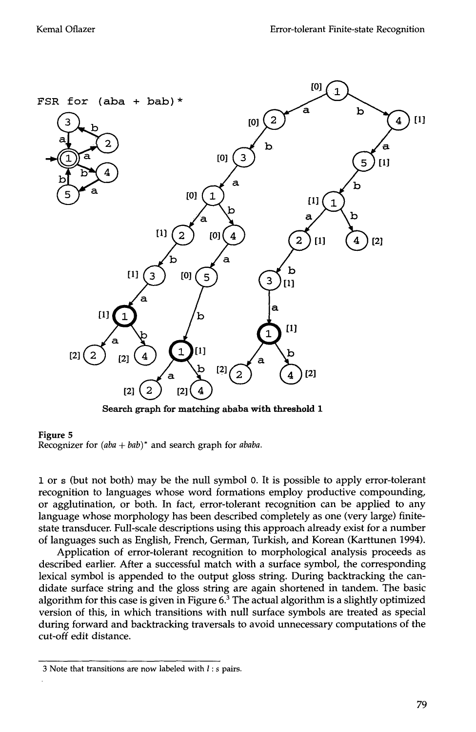

Search graph for matching ababa with threshold 1

Recognizer for *(aba + bab)\** and search graph for *ababa.* 

1 or s (but not both) may be the null symbol 0. It is possible to apply error-tolerant recognition to languages whose word formations employ productive compounding, or agglutination, or both. In fact, error-tolerant recognition can be applied to any language whose morphology has been described completely as one (very large) finitestate transducer. Full-scale descriptions using this approach already exist for a number of languages such as English, French, German, Turkish, and Korean (Karttunen 1994).

Application of error-tolerant recognition to morphological analysis proceeds as described earlier. After a successful match with a surface symbol, the corresponding lexical symbol is appended to the output gloss string. During backtracking the candidate surface string and the gloss string are again shortened in tandem. The basic algorithm for this case is given in Figure  $6<sup>3</sup>$  The actual algorithm is a slightly optimized version of this, in which transitions with null surface symbols are treated as special during forward and backtracking traversals to avoid unnecessary computations of the cut-off edit distance.

<sup>3</sup> Note that transitions are now labeled with  $l$  : s pairs.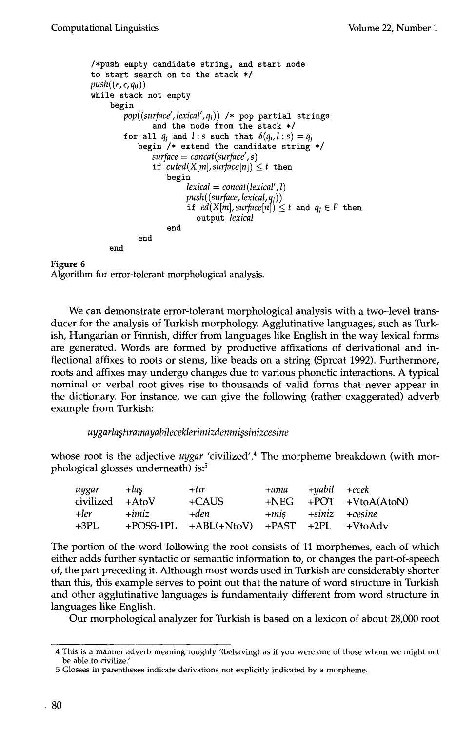```
/~push empty candidate string, and start node 
to start search on to the stack */
push((\epsilon, \epsilon, q_0))while stack not empty 
    begin 
        pop((surface',lexical',qi)) /* pop partial strings 
                and the node from the stack */
        for all q_i and l:s such that \delta(q_i,l:s) = q_ibegin /* extend the candidate string */surface = concat (surface', s) 
                if cuted(X[m], surface[n]) \leq t then
                   begin 
                        lexical = concat(lexical', 1) 
                        push((surface, lexical, a_i))if ed(X[m], surface[n]) \leq t and q_i \in F then
                           output lexical 
                   end 
            end 
    end
```
Algorithm for error-tolerant morphological analysis.

We can demonstrate error-tolerant morphological analysis with a two-level transducer for the analysis of Turkish morphology. Agglutinative languages, such as Turkish, Hungarian or Finnish, differ from languages like English in the way lexical forms are generated. Words are formed by productive affixations of derivational and inflectional affixes to roots or stems, like beads on a string (Sproat 1992). Furthermore, roots and affixes may undergo changes due to various phonetic interactions. A typical nominal or verbal root gives rise to thousands of valid forms that never appear in the dictionary. For instance, we can give the following (rather exaggerated) adverb example from Turkish:

## *uygarla~tzramayabileceklerimizdenmi~sinizcesine*

whose root is the adjective *uygar* 'civilized'. 4 The morpheme breakdown (with morphological glosses underneath) is:<sup>5</sup>

| uygar           | $+$ las | $+t\imath r$                                                | +ama +yabil +ecek         |                           |
|-----------------|---------|-------------------------------------------------------------|---------------------------|---------------------------|
| civilized +AtoV |         | +CAUS                                                       |                           | $+NEG + POT + VtoA(AtoN)$ |
| +ler -          | $+imiz$ | +den                                                        | $+mis$ $+siniz$ $+cesine$ |                           |
| +3PL.           |         | $+$ POSS-1PL $+$ ABL $(+$ NtoV) $+$ PAST $+$ 2PL $+$ VtoAdv |                           |                           |

The portion of the word following the root consists of 11 morphemes, each of which either adds further syntactic or semantic information to, or changes the part-of-speech of, the part preceding it. Although most words used in Turkish are considerably shorter than this, this example serves to point out that the nature of word structure in Turkish and other agglutinative languages is fundamentally different from word structure in languages like English.

Our morphological analyzer for Turkish is based on a lexicon of about 28,000 root

<sup>4</sup> This is a manner adverb meaning roughly '(behaving) as if you were one of those whom we might not be able to civilize.'

<sup>5</sup> Glosses in parentheses indicate derivations not explicitly indicated by a morpheme.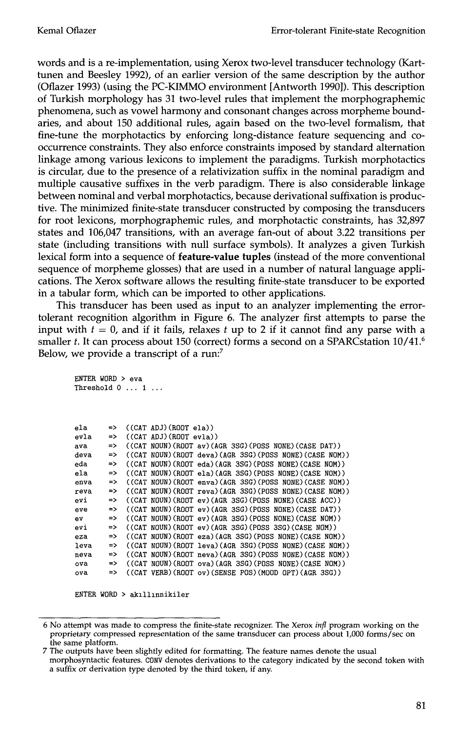words and is a re-implementation, using Xerox two-level transducer technology (Karttunen and Beesley 1992), of an earlier version of the same description by the author (Oflazer 1993) (using the PC-KIMMO environment [Antworth 1990]). This description of Turkish morphology has 31 two-level rules that implement the morphographemic phenomena, such as vowel harmony and consonant changes across morpheme boundaries, and about 150 additional rules, again based on the two-level formalism, that fine-tune the morphotactics by enforcing long-distance feature sequencing and cooccurrence constraints. They also enforce constraints imposed by standard alternation linkage among various lexicons to implement the paradigms. Turkish morphotactics is circular, due to the presence of a relativization suffix in the nominal paradigm and multiple causative suffixes in the verb paradigm. There is also considerable linkage between nominal and verbal morphotactics, because derivational suffixation is productive. The minimized finite-state transducer constructed by composing the transducers for root lexicons, morphographemic rules, and morphotactic constraints, has 32,897 states and 106,047 transitions, with an average fan-out of about 3.22 transitions per state (including transitions with null surface symbols). It analyzes a given Turkish lexical form into a sequence of feature-value tuples (instead of the more conventional sequence of morpheme glosses) that are used in a number of natural language applications. The Xerox software allows the resulting finite-state transducer to be exported in a tabular form, which can be imported to other applications.

This transducer has been used as input to an analyzer implementing the errortolerant recognition algorithm in Figure 6. The analyzer first attempts to parse the input with  $t = 0$ , and if it fails, relaxes t up to 2 if it cannot find any parse with a smaller t. It can process about 150 (correct) forms a second on a SPARCstation 10/41.<sup>6</sup> Below, we provide a transcript of a run:<sup>7</sup>

```
ENTER WORD > eva 
Threshold 0 ... 1 ...
ela => ((CAT 
ADJ)(ROOT ela)) 
evla => ((CAT 
ADJ)(ROOT evla)) 
ava => ((CAT 
NOUN)(ROOT av)(AGR 3SG)(POSS NONE)(CASE DAT)) 
deva => ((CAT NOUN)(ROOT 
deva)(AGR 3SG)(POSS NONE)(CASE NOM)) 
eda => ((CAT NOUN)(ROOT 
eda)(AGR 3SG)(POSS NONE)(CASE NOM)) 
ela => ((CAT NOUN)(ROOT 
ela)(AGR 3SG)(POSS NONE)(CASE NOM)) 
enva => ((CAT NOUN)(ROOT 
enva)(AGR 3SG)(POSS NONE)(CASE NOM)) 
reva                       ((CAT NOUN)(ROOT reva)(AGR 3SG)(POSS NONE)(CASE NOM))
evi                     ((CAT NOUN)(ROOT ev)(AGR 3SG)(POSS NONE)(CASE ACC))
eve                        ((CAT NOUN)(ROOT ev)(AGR 3SG)(POSS NONE)(CASE DAT))
ev => ((CAT NOUN)(ROOT 
ev)(AGR 3SG)(POSS NONE)(CASE NOM)) 
evi                     ((CAT NOUN)(ROOT ev)(AGR 3SG)(POSS 3SG)(CASE NOM))
eza => ((CAT NOUN)(ROOT 
eza)(AGR 3SG)(POSS NONE)(CASE NOM)) 
leva                     ((CAT NOUN)(ROOT leva)(AGR 3SG)(POSS NONE)(CASE NOM))
neva => ((CAT NOUN)(ROOT 
neva)(AGR 3SG)(POSS NONE)(CASE NOM)) 
ova => ((CAT NOUN)(ROOT 
ova)(AGR 3SG)(POSS NONE)(CASE NOM)) 
ova                       ((CAT VERB)(ROOT ov)(SENSE POS)(MOOD OPT)(AGR 3SG))
```
 $ENTER$  WORD > akıllınnikiler

<sup>6</sup> No attempt was made to compress the finite-state recognizer. The Xerox *infl* program working on the proprietary compressed representation of the same transducer can process about 1,000 forms/sec on the same platform.

<sup>7</sup> The outputs have been slightly edited for formatting. The feature names denote the usual morphosyntactic features. C0NV denotes derivations to the category indicated by the second token with a suffix or derivation type denoted by the third token, if any.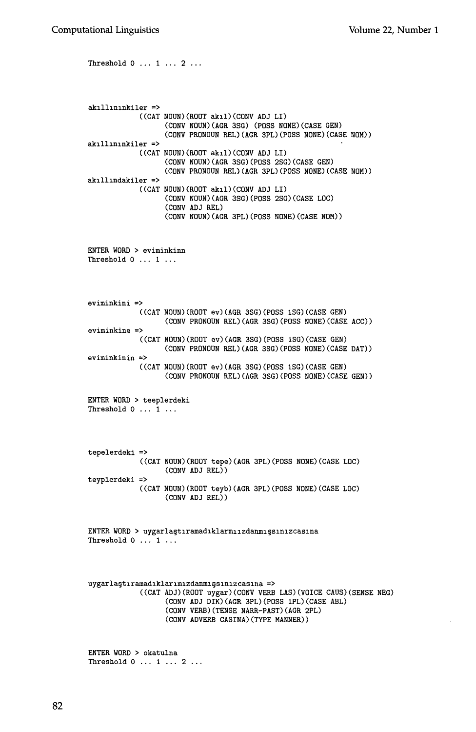Threshold 0 ... i ... 2 ... akıllınınkiler => ((CAT NOUN)(ROOT ak11)(CONV ADJ LI) akıllınınkiler => ((CAT NUUN)(ROUT akil)(CONV ADJ LI) ak1111ndakiler => ((CAT NOUN)(ROOT akxl)(CONV ADJ LI) (CONV NOUN)(AGR 3SG) (POSS NONE)(CASE GEN) (CONV PRONOUN REL)(AGR 3PL)(POSS NONE)(CASE NOM)) (CONV NOUN)(AGR 3SG)(POSS 2SG)(CASE GEN) (CONV PRONOUN REL)(AGR 3PL)(POSS NONE)(CASE NOM)) (CONV NOUN)(AGR 3SG)(POSS 2SG)(CASE LOC) (CONV ADJ REL) (CONV NOUN)(AGR 3PL)(POSS NONE)(CASE NOM)) ENTER WORD > eviminkinn Threshold 0 ... 1 ... eviminkini => ((CAT NOUN)(ROOT ev)(AGR 3SG)(POSS ISG)(CASE GEN) (CONV PRONOUN REL)(AGR 3SG)(POSS NONE)(CASE ACC)) eviminkine => ((CAT NOUN)(ROOT ev)(AGR 3SG)(POSS ISG)(CASE GEN) (CONV PRONOUN REL)(AGR 3SG)(POSS NONE)(CASE DAT)) eviminkinin => ((CAT NOUN)(ROOT ev)(AGR 3SG)(PGSS lSG)(CASE GEN) (CONV PRONOUN REL)(AGR 3SG)(POSS NONE)(CASE GEN)) ENTER WORD > teeplerdeki Threshold 0 ... 1 ... tepelerdeki => ((CAT NOUN)(ROOT tepe)(AGR 3PL)(POSS NONE)(CASE LOC) (CONV ADJ REL)) teyplerdeki => ((CAT NOUN)(ROOT teyb)(AGR 3PL)(POSS NONE)(CASE LOC) (CONV ADJ REL)) ENTER WORD > uygarlaştıramadıklarmıızdanmışsınızcasına Threshold 0 ... 1 ...  $uygar$ laştıramadıklarımızdanmışsınızcasına => ((CAT ADJ)(ROOT uygar)(CONV VERB LAS)(VOICE CAUS)(SENSE NEG) (CONV ADJ DIK)(AGR 3PL)(POSS IPL)(CASE ABL) (CONV VERB)(TENSE NARR-PAST)(AGR 2PL) (CONV ADVERB CASINA)(TYPE MANNER)) ENTER WORD > okatulna Threshold  $0 \ldots 1 \ldots 2 \ldots$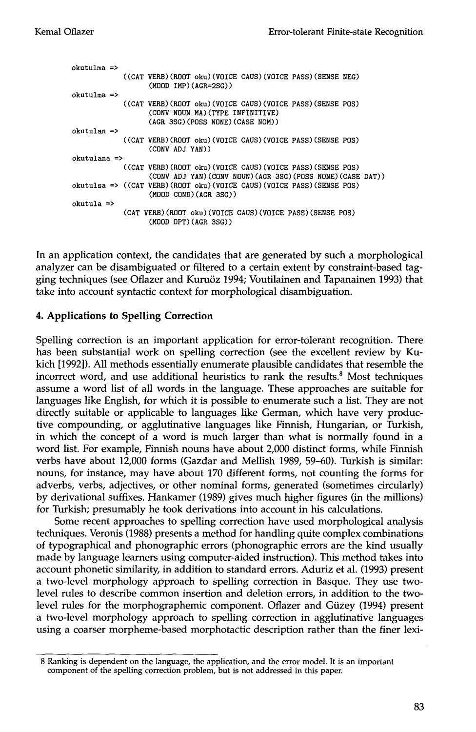```
okutulma => 
             ((CAT 
VERB)(RODT oku)(VOICE CAUS)(VOICE PASS)(SENSE NEG) 
okutulma => 
             ((CAT 
VERB)(ROOT oku)(VOICE CAUS)(VOICE PASS)(SENSE POS) 
okutulan => 
             ((CAT 
VEKB)(ROOT oku)(VOICE CAUS)(VOICE PASS)(SENSE POS) 
okutulana => 
             ((CAT 
VERB)(ROOT oku)(VOICE CAUS)(VOICE PASS)(SENSE POS) 
okutulsa => ((CAT 
VERB)(ROOT oku)(VOICE CAUS)(VOICE PASS)(SENSE POS) 
okutula => 
                   (MOOD IMP)(AGR=2SG)) 
                   (CONV NOUN MA)(TYPE INFINITIVE) 
                   (AGE 3SG)(POSS NONE)(CASE NOM)) 
                   (CONV ADJ YAN)) 
                   (CONV ADJ YAN)(CONV NOUN)(AGR 3SG)(POSS NONE)(CASE DAT)) 
                   (MOOD COND)(AGE 3SG)) 
            (CAT VERB)(ROOT oku)(VOICE CAUS)(VOICE PASS)(SENSE POS) 
                   (MOOD OPT)(AGR 3SG))
```
In an application context, the candidates that are generated by such a morphological analyzer can be disambiguated or filtered to a certain extent by constraint-based tagging techniques (see Oflazer and Kuru6z 1994; Voutilainen and Tapanainen 1993) that take into account syntactic context for morphological disambiguation.

# **4. Applications to Spelling Correction**

Spelling correction is an important application for error-tolerant recognition. There has been substantial work on spelling correction (see the excellent review by Kukich [1992]). All methods essentially enumerate plausible candidates that resemble the incorrect word, and use additional heuristics to rank the results.<sup>8</sup> Most techniques assume a word list of all words in the language. These approaches are suitable for languages like English, for which it is possible to enumerate such a list. They are not directly suitable or applicable to languages like German, which have very productive compounding, or agglutinative languages like Finnish, Hungarian, or Turkish, in which the concept of a word is much larger than what is normally found in a word list. For example, Finnish nouns have about 2,000 distinct forms, while Finnish verbs have about 12,000 forms (Gazdar and Mellish 1989, 59-60). Turkish is similar: nouns, for instance, may have about 170 different forms, not counting the forms for adverbs, verbs, adjectives, or other nominal forms, generated (sometimes circularly) by derivational suffixes. Hankamer (1989) gives much higher figures (in the millions) for Turkish; presumably he took derivations into account in his calculations.

Some recent approaches to spelling correction have used morphological analysis techniques. Veronis (1988) presents a method for handling quite complex combinations of typographical and phonographic errors (phonographic errors are the kind usually made by language learners using computer-aided instruction). This method takes into account phonetic similarity, in addition to standard errors. Aduriz et al. (1993) present a two-level morphology approach to spelling correction in Basque. They use twolevel rules to describe common insertion and deletion errors, in addition to the twolevel rules for the morphographemic component. Oflazer and Güzey (1994) present a two-level morphology approach to spelling correction in agglutinative languages using a coarser morpheme-based morphotactic description rather than the finer lexi-

<sup>8</sup> Ranking is dependent on the language, the application, and the error model. It is an important component of the spelling correction problem, but is not addressed in this paper.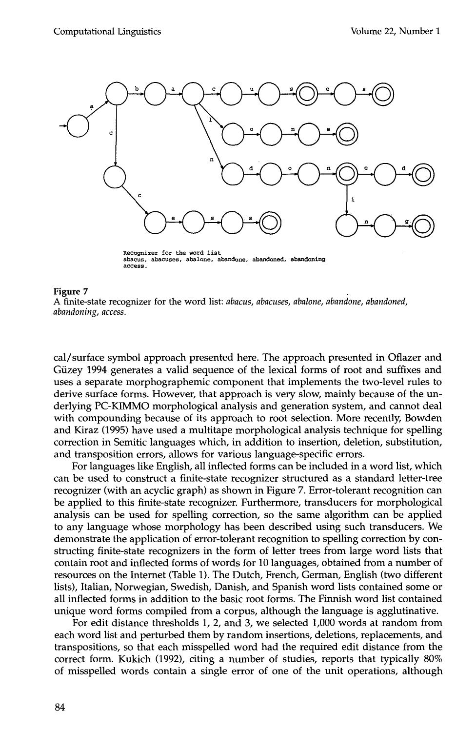

Recognizer for the word list abacus, abacuses, abalone, abandone, abandoned, abandoning **access.** 

A finite-state recognizer for the word list: *abacus, abacuses, abalone, abandone, abandoned, abandoning, access.* 

cal/surface symbol approach presented here. The approach presented in Oflazer and Güzey 1994 generates a valid sequence of the lexical forms of root and suffixes and uses a separate morphographemic component that implements the two-level rules to derive surface forms. However, that approach is very slow, mainly because of the underlying PC-KIMMO morphological analysis and generation system, and cannot deal with compounding because of its approach to root selection. More recently, Bowden and Kiraz (1995) have used a multitape morphological analysis technique for spelling correction in Semitic languages which, in addition to insertion, deletion, substitution, and transposition errors, allows for various language-specific errors.

For languages like English, all inflected forms can be included in a word list, which can be used to construct a finite-state recognizer structured as a standard letter-tree recognizer (with an acyclic graph) as shown in Figure 7. Error-tolerant recognition can be applied to this finite-state recognizer. Furthermore, transducers for morphological analysis can be used for spelling correction, so the same algorithm can be applied to any language whose morphology has been described using such transducers. We demonstrate the application of error-tolerant recognition to spelling correction by constructing finite-state recognizers in the form of letter trees from large word lists that contain root and inflected forms of words for 10 languages, obtained from a number of resources on the Internet (Table 1). The Dutch, French, German, English (two different lists), Italian, Norwegian, Swedish, Danish, and Spanish word lists contained some or all inflected forms in addition to the basic root forms. The Finnish word list contained unique word forms compiled from a corpus, although the language is agglutinative.

For edit distance thresholds 1, 2, and 3, we selected 1,000 words at random from each word list and perturbed them by random insertions, deletions, replacements, and transpositions, so that each misspelled word had the required edit distance from the correct form. Kukich (1992), citing a number of studies, reports that typically 80% of misspelled words contain a single error of one of the unit operations, although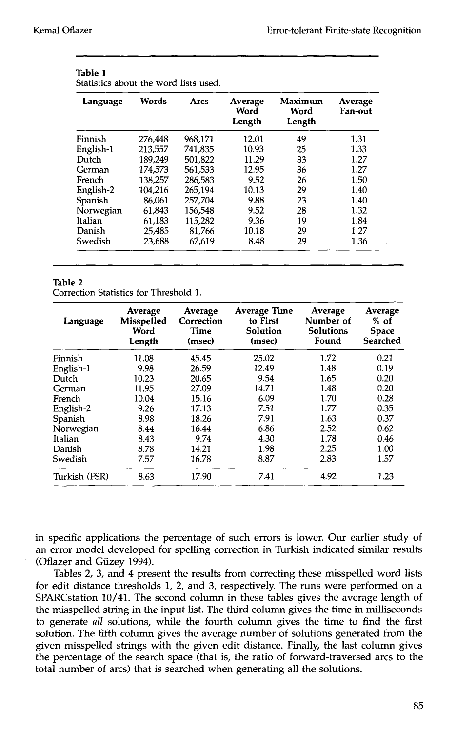**Table 1** 

| Language  | Words   | <b>Arcs</b> | Average<br>Word<br>Length | Maximum<br>Word<br>Length | Average<br>Fan-out |
|-----------|---------|-------------|---------------------------|---------------------------|--------------------|
| Finnish   | 276,448 | 968.171     | 12.01                     | 49                        | 1.31               |
| English-1 | 213,557 | 741,835     | 10.93                     | 25                        | 1.33               |
| Dutch     | 189.249 | 501.822     | 11.29                     | 33                        | 1.27               |
| German    | 174.573 | 561.533     | 12.95                     | 36                        | 1.27               |
| French    | 138.257 | 286.583     | 9.52                      | 26                        | 1.50               |
| English-2 | 104,216 | 265,194     | 10.13                     | 29                        | 1.40               |
| Spanish   | 86.061  | 257,704     | 9.88                      | 23                        | 1.40               |
| Norwegian | 61,843  | 156,548     | 9.52                      | 28                        | 1.32               |
| Italian   | 61,183  | 115,282     | 9.36                      | 19                        | 1.84               |
| Danish    | 25,485  | 81.766      | 10.18                     | 29                        | 1.27               |
| Swedish   | 23,688  | 67.619      | 8.48                      | 29                        | 1.36               |

| TADIE T                               |  |  |  |
|---------------------------------------|--|--|--|
| Statistics about the word lists used. |  |  |  |

#### **Table** 2

Correction Statistics for Threshold 1.

| Language      | Average<br>Misspelled<br>Word<br>Length | Average<br>Correction<br>Time<br>(msec) | <b>Average Time</b><br>to First<br>Solution<br>(msec) | Average<br>Number of<br><b>Solutions</b><br>Found | Average<br>$%$ of<br><b>Space</b><br>Searched |
|---------------|-----------------------------------------|-----------------------------------------|-------------------------------------------------------|---------------------------------------------------|-----------------------------------------------|
| Finnish       | 11.08                                   | 45.45                                   | 25.02                                                 | 1.72                                              | 0.21                                          |
| English-1     | 9.98                                    | 26.59                                   | 12.49                                                 | 1.48                                              | 0.19                                          |
| Dutch         | 10.23                                   | 20.65                                   | 9.54                                                  | 1.65                                              | 0.20                                          |
| German        | 11.95                                   | 27.09                                   | 14.71                                                 | 1.48                                              | 0.20                                          |
| French        | 10.04                                   | 15.16                                   | 6.09                                                  | 1.70                                              | 0.28                                          |
| English-2     | 9.26                                    | 17.13                                   | 7.51                                                  | 1.77                                              | 0.35                                          |
| Spanish       | 8.98                                    | 18.26                                   | 7.91                                                  | 1.63                                              | 0.37                                          |
| Norwegian     | 8.44                                    | 16.44                                   | 6.86                                                  | 2.52                                              | 0.62                                          |
| Italian       | 8.43                                    | 9.74                                    | 4.30                                                  | 1.78                                              | 0.46                                          |
| Danish        | 8.78                                    | 14.21                                   | 1.98                                                  | 2.25                                              | 1.00                                          |
| Swedish       | 7.57                                    | 16.78                                   | 8.87                                                  | 2.83                                              | 1.57                                          |
| Turkish (FSR) | 8.63                                    | 17.90                                   | 7.41                                                  | 4.92                                              | 1.23                                          |

in specific applications the percentage of such errors is lower. Our earlier study of an error model developed for spelling correction in Turkish indicated similar results (Oflazer and Güzey 1994).

Tables 2, 3, and 4 present the results from correcting these misspelled word lists for edit distance thresholds 1, 2, and 3, respectively. The runs were performed on a SPARCstation 10/41. The second column in these tables gives the average length of the misspelled string in the input list. The third column gives the time in milliseconds to generate *all* solutions, while the fourth column gives the time to find the first solution. The fifth column gives the average number of solutions generated from the given misspelled strings with the given edit distance. Finally, the last column gives the percentage of the search space (that is, the ratio of forward-traversed arcs to the total number of arcs) that is searched when generating all the solutions.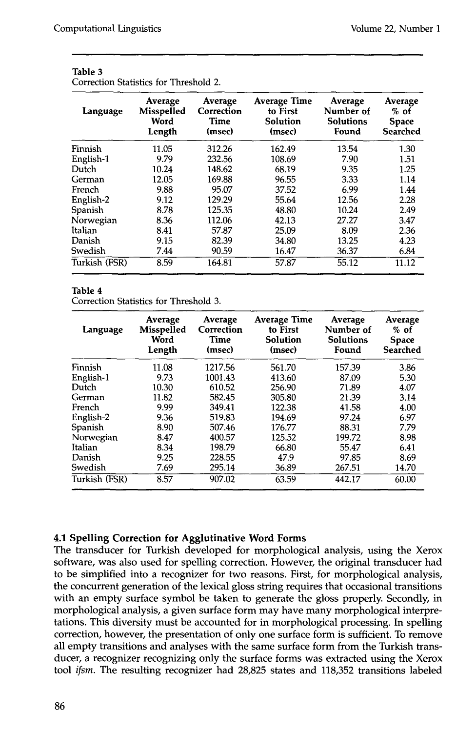| Language      | Average<br>Misspelled<br>Word<br>Length | Average<br>Correction<br><b>Time</b><br>(msec) | <b>Average Time</b><br>to First<br>Solution<br>(msec) | Average<br>Number of<br><b>Solutions</b><br>Found | Average<br>$%$ of<br><b>Space</b><br>Searched |
|---------------|-----------------------------------------|------------------------------------------------|-------------------------------------------------------|---------------------------------------------------|-----------------------------------------------|
| Finnish       | 11.05                                   | 312.26                                         | 162.49                                                | 13.54                                             | 1.30                                          |
| English-1     | 9.79                                    | 232.56                                         | 108.69                                                | 7.90                                              | 1.51                                          |
| Dutch         | 10.24                                   | 148.62                                         | 68.19                                                 | 9.35                                              | 1.25                                          |
| German        | 12.05                                   | 169.88                                         | 96.55                                                 | 3.33                                              | 1.14                                          |
| French        | 9.88                                    | 95.07                                          | 37.52                                                 | 6.99                                              | 1.44                                          |
| English-2     | 9.12                                    | 129.29                                         | 55.64                                                 | 12.56                                             | 2.28                                          |
| Spanish       | 8.78                                    | 125.35                                         | 48.80                                                 | 10.24                                             | 2.49                                          |
| Norwegian     | 8.36                                    | 112.06                                         | 42.13                                                 | 27.27                                             | 3.47                                          |
| Italian       | 8.41                                    | 57.87                                          | 25.09                                                 | 8.09                                              | 2.36                                          |
| Danish        | 9.15                                    | 82.39                                          | 34.80                                                 | 13.25                                             | 4.23                                          |
| Swedish       | 7.44                                    | 90.59                                          | 16.47                                                 | 36.37                                             | 6.84                                          |
| Turkish (FSR) | 8.59                                    | 164.81                                         | 57.87                                                 | 55.12                                             | 11.12                                         |

| Table 3 |  |                                       |  |
|---------|--|---------------------------------------|--|
|         |  | Correction Statistics for Threshold 2 |  |

## **Table** 4

Correction Statistics for Threshold 3.

| Language      | Average<br><b>Misspelled</b><br>Word<br>Length | Average<br>Correction<br><b>Time</b><br>(msec) | <b>Average Time</b><br>to First<br>Solution<br>(msec) | Average<br>Number of<br><b>Solutions</b><br>Found | Average<br>$%$ of<br><b>Space</b><br>Searched |
|---------------|------------------------------------------------|------------------------------------------------|-------------------------------------------------------|---------------------------------------------------|-----------------------------------------------|
| Finnish       | 11.08                                          | 1217.56                                        | 561.70                                                | 157.39                                            | 3.86                                          |
| English-1     | 9.73                                           | 1001.43                                        | 413.60                                                | 87.09                                             | 5.30                                          |
| Dutch         | 10.30                                          | 610.52                                         | 256.90                                                | 71.89                                             | 4.07                                          |
| German        | 11.82                                          | 582.45                                         | 305.80                                                | 21.39                                             | 3.14                                          |
| French        | 9.99                                           | 349.41                                         | 122.38                                                | 41.58                                             | 4.00                                          |
| English-2     | 9.36                                           | 519.83                                         | 194.69                                                | 97.24                                             | 6.97                                          |
| Spanish       | 8.90                                           | 507.46                                         | 176.77                                                | 88.31                                             | 7.79                                          |
| Norwegian     | 8.47                                           | 400.57                                         | 125.52                                                | 199.72                                            | 8.98                                          |
| Italian       | 8.34                                           | 198.79                                         | 66.80                                                 | 55.47                                             | 6.41                                          |
| Danish        | 9.25                                           | 228.55                                         | 47.9                                                  | 97.85                                             | 8.69                                          |
| Swedish       | 7.69                                           | 295.14                                         | 36.89                                                 | 267.51                                            | 14.70                                         |
| Turkish (FSR) | 8.57                                           | 907.02                                         | 63.59                                                 | 442.17                                            | 60.00                                         |

# **4.1 Spelling Correction for Agglutinative Word Forms**

The transducer for Turkish developed for morphological analysis, using the Xerox software, was also used for spelling correction. However, the original transducer had to be simplified into a recognizer for two reasons. First, for morphological analysis, the concurrent generation of the lexical gloss string requires that occasional transitions with an empty surface symbol be taken to generate the gloss properly. Secondly, in morphological analysis, a given surface form may have many morphological interpretations. This diversity must be accounted for in morphological processing. In spelling correction, however, the presentation of only one surface form is sufficient. To remove all empty transitions and analyses with the same surface form from the Turkish transducer, a recognizer recognizing only the surface forms was extracted using the Xerox tool *ifsm.* The resulting recognizer had 28,825 states and 118,352 transitions labeled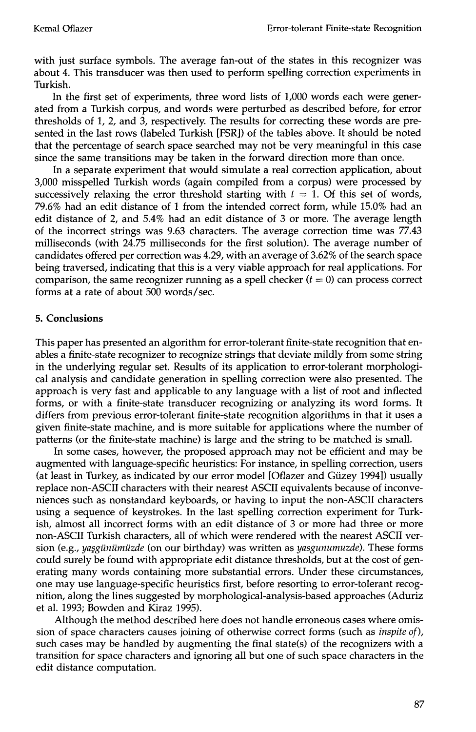with just surface symbols. The average fan-out of the states in this recognizer was about 4. This transducer was then used to perform spelling correction experiments in Turkish.

In the first set of experiments, three word lists of 1,000 words each were generated from a Turkish corpus, and words were perturbed as described before, for error thresholds of 1, 2, and 3, respectively. The results for correcting these words are presented in the last rows (labeled Turkish [FSR]) of the tables above. It should be noted that the percentage of search space searched may not be very meaningful in this case since the same transitions may be taken in the forward direction more than once.

In a separate experiment that would simulate a real correction application, about 3,000 misspelled Turkish words (again compiled from a corpus) were processed by successively relaxing the error threshold starting with  $t = 1$ . Of this set of words, 79.6% had an edit distance of 1 from the intended correct form, while 15.0% had an edit distance of 2, and 5.4% had an edit distance of 3 or more. The average length of the incorrect strings was 9.63 characters. The average correction time was 77.43 milliseconds (with 24.75 milliseconds for the first solution). The average number of candidates offered per correction was 4.29, with an average of 3.62% of the search space being traversed, indicating that this is a very viable approach for real applications. For comparison, the same recognizer running as a spell checker  $(t = 0)$  can process correct forms at a rate of about 500 words/sec.

# **5. Conclusions**

This paper has presented an algorithm for error-tolerant finite-state recognition that enables a finite-state recognizer to recognize strings that deviate mildly from some string in the underlying regular set. Results of its application to error-tolerant morphological analysis and candidate generation in spelling correction were also presented. The approach is very fast and applicable to any language with a list of root and inflected forms, or with a finite-state transducer recognizing or analyzing its word forms. It differs from previous error-tolerant finite-state recognition algorithms in that it uses a given finite-state machine, and is more suitable for applications where the number of patterns (or the finite-state machine) is large and the string to be matched is small.

In some cases, however, the proposed approach may not be efficient and may be augmented with language-specific heuristics: For instance, in spelling correction, users (at least in Turkey, as indicated by our error model [Oflazer and Gfizey 1994]) usually replace non-ASCII characters with their nearest ASCII equivalents because of inconveniences such as nonstandard keyboards, or having to input the non-ASCII characters using a sequence of keystrokes. In the last spelling correction experiment for Turkish, almost all incorrect forms with an edit distance of 3 or more had three or more non-ASCII Turkish characters, all of which were rendered with the nearest ASCII version (e.g., *yaşgünümüzde* (on our birthday) was written as *yasgunumuzde*). These forms could surely be found with appropriate edit distance thresholds, but at the cost of generating many words containing more substantial errors. Under these circumstances, one may use language-specific heuristics first, before resorting to error-tolerant recognition, along the lines suggested by morphological-analysis-based approaches (Aduriz et al. 1993; Bowden and Kiraz 1995).

Although the method described here does not handle erroneous cases where omission of space characters causes joining of otherwise correct forms (such as *inspite of),*  such cases may be handled by augmenting the final state(s) of the recognizers with a transition for space characters and ignoring all but one of such space characters in the edit distance computation.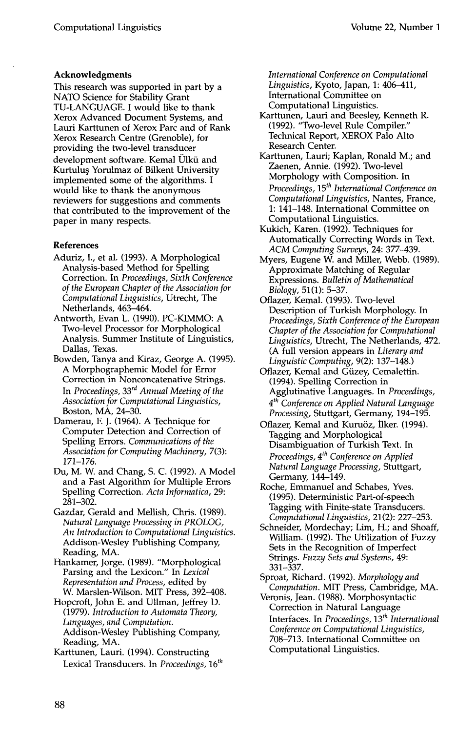#### **Acknowledgments**

This research was supported in part by a NATO Science for Stability Grant TU-LANGUAGE. I would like to thank Xerox Advanced Document Systems, and Lauri Karttunen of Xerox Parc and of Rank Xerox Research Centre (Grenoble), for providing the two-level transducer development software. Kemal Olkii and Kurtuluş Yorulmaz of Bilkent University implemented some of the algorithms. I would like to thank the anonymous reviewers for suggestions and comments that contributed to the improvement of the paper in many respects.

#### **References**

- Aduriz, I., et al. (1993). A Morphological Analysis-based Method for Spelling Correction. In *Proceedings, Sixth Conference of the European Chapter of the Association for Computational Linguistics,* Utrecht, The Netherlands, 463-464.
- Antworth, Evan L. (1990). PC-KIMMO: A Two-level Processor for Morphological Analysis. Summer Institute of Linguistics, Dallas, Texas.
- Bowden, Tanya and Kiraz, George A. (1995). A Morphographemic Model for Error Correction in Nonconcatenative Strings. In *Proceedings, 33<sup>rd</sup> Annual Meeting of the Association for Computational Linguistics,*  Boston, MA, 24-30.
- Damerau, E J. (1964). A Technique for Computer Detection and Correction of Spelling Errors. *Communications of the Association for Computing Machinery,* 7(3): **171-176.**
- Du, M. W. and Chang, S. C. (1992). A Model and a Fast Algorithm for Multiple Errors Spelling Correction. *Acta Informatica,* 29: 281-302.
- Gazdar, Gerald and Mellish, Chris. (1989). *Natural Language Processing in PROLOG, An Introduction to Computational Linguistics.*  Addison-Wesley Publishing Company, Reading, MA.
- Hankamer, Jorge. (1989). "Morphological Parsing and the Lexicon." In *Lexical Representation and Process,* edited by W. Marslen-Wilson. MIT Press, 392-408.
- Hopcroft, John E. and Ullman, Jeffrey D. (1979). *Introduction to Automata Theory, Languages, and Computation.*  Addison-Wesley Publishing Company, Reading, MA.
- Karttunen, Lauri. (1994). Constructing Lexical Transducers. In *Proceedings*, 16<sup>th</sup>

*International Conference on Computational Linguistics,* Kyoto, Japan, 1: 406-411, International Committee on Computational Linguistics.

- Karttunen, Lauri and Beesley, Kenneth R. (1992). "Two-level Rule Compiler." Technical Report, XEROX Palo Alto Research Center.
- Karttunen, Lauri; Kaplan, Ronald M.; and Zaenen, Annie. (1992). Two-level Morphology with Composition. In *Proceedings, 15<sup>th</sup> International Conference on Computational Linguistics,* Nantes, France, 1: 141-148. International Committee on Computational Linguistics.
- Kukich, Karen. (1992). Techniques for Automatically Correcting Words in Text. *ACM Computing Surveys,* 24: 377-439.
- Myers, Eugene W. and Miller, Webb. (1989). Approximate Matching of Regular Expressions. *Bulletin of Mathematical Biology,* 51(1): 5-37.
- Oflazer, Kemal. (1993). Two-level Description of Turkish Morphology. In *Proceedings, Sixth Conference of the European Chapter of the Association for Computational Linguistics,* Utrecht, The Netherlands, 472. (A full version appears in *Literary and Linguistic Computing,* 9(2): 137-148.)
- Oflazer, Kemal and Giizey, Cemalettin. (1994). Spelling Correction in Agglutinative Languages. In *Proceedings, 4 th Conference on Applied Natural Language Processing,* Stuttgart, Germany, 194-195.
- Oflazer, Kemal and Kuruöz, İlker. (1994). Tagging and Morphological Disambiguation of Turkish Text. In *Proceedings, 4 th Conference on Applied Natural Language Processing,* Stuttgart, Germany, 144-149.
- Roche, Emmanuel and Schabes, Yves. (1995). Deterministic Part-of-speech Tagging with Finite-state Transducers. *Computational Linguistics,* 21(2): 227-253.
- Schneider, Mordechay; Lim, H.; and Shoaff, William. (1992). The Utilization of Fuzzy Sets in the Recognition of Imperfect Strings. *Fuzzy Sets and Systems,* 49: 331-337.
- Sproat, Richard. (1992). *Morphology and Computation.* MIT Press, Cambridge, MA.
- Veronis, Jean. (1988). Morphosyntactic Correction in Natural Language

Interfaces. In *Proceedings*, 13<sup>th</sup> International *Conference on Computational Linguistics,*  708-713. International Committee on Computational Linguistics.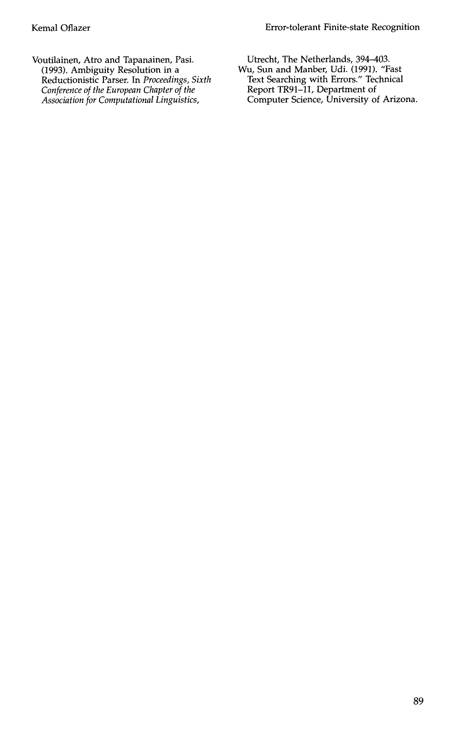Voutilainen, Atro and Tapanainen, Pasi. (1993). Ambiguity Resolution in a Reductionistic Parser. In *Proceedings, Sixth Conference of the European Chapter of the Association for Computational Linguistics,* 

Utrecht, The Netherlands, 394-403. Wu, Sun and Manber, Udi. (1991). "Fast Text Searching with Errors." Technical Report TR91-11, Department of Computer Science, University of Arizona.